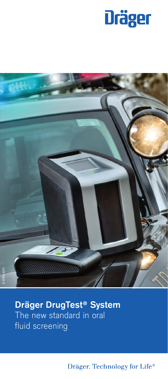



**Dräger DrugTest® System** The new standard in oral fluid screening

Dräger. Technology for Life®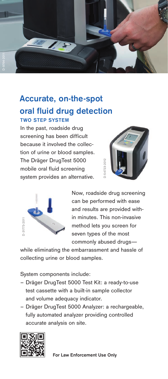

# **Accurate, on-the-spot oral fluid drug detection TWO STEP SYSTEM**

In the past, roadside drug screening has been difficult because it involved the collection of urine or blood samples. The Dräger DrugTest 5000 mobile oral fluid screening system provides an alternative.





Now, roadside drug screening can be performed with ease and results are provided within minutes. This non-invasive method lets you screen for seven types of the most commonly abused drugs—

while eliminating the embarrassment and hassle of collecting urine or blood samples.

System components include:

- Dräger DrugTest 5000 Test Kit: a ready-to-use test cassette with a built-in sample collector and volume adequacy indicator.
- Dräger DrugTest 5000 Analyzer: a rechargeable, fully automated analyzer providing controlled accurate analysis on site.

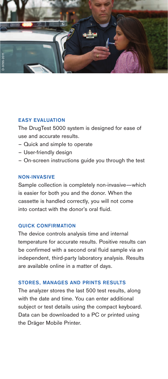

### **EASY EVALUATION**

The DrugTest 5000 system is designed for ease of use and accurate results.

- Quick and simple to operate
- User-friendly design
- On-screen instructions guide you through the test

#### **NON-INVASIVE**

Sample collection is completely non-invasive—which is easier for both you and the donor. When the cassette is handled correctly, you will not come into contact with the donor's oral fluid.

#### **QUICK CONFIRMATION**

The device controls analysis time and internal temperature for accurate results. Positive results can be confirmed with a second oral fluid sample via an independent, third-party laboratory analysis. Results are available online in a matter of days.

#### **STORES, MANAGES AND PRINTS RESULTS**

The analyzer stores the last 500 test results, along with the date and time. You can enter additional subject or test details using the compact keyboard. Data can be downloaded to a PC or printed using the Dräger Mobile Printer.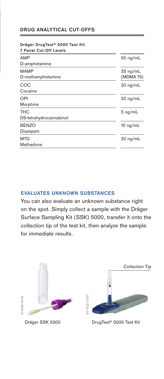# **DRUG ANALYTICAL CUT-OFFS**

# **Dräger DrugTest® 5000 Test Kit 7 Panel Cut-Off Levels** AMP 50 ng/mL D-amphetamine MAMP 35 ng/mL<br>D-methamphetamine the state of the MDMA 75) D-methamphetamine COC 20 ng/mL Cocaine OPI 20 ng/mL Morphine THC 5 ng/mL D9-tetrahydrocannabinol BENZO 15 ng/mL Diazepam MTD 20 ng/mL Methadone

# **EVALUATES UNKNOWN SUBSTANCES**

You can also evaluate an unknown substance right on the spot. Simply collect a sample with the Dräger Surface Sampling Kit (SSK) 5000, transfer it onto the collection tip of the test kit, then analyze the sample for immediate results.

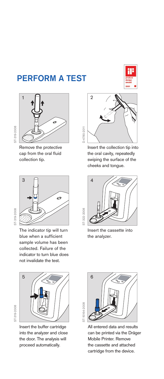# **PERFORM A TEST**





Remove the protective cap from the oral fluid collection tip.



The indicator tip will turn blue when a sufficient sample volume has been collected. Failure of the indicator to turn blue does not invalidate the test.

ST-319-2008 ST-319-2008

ST-319-2008

3T-319-2008

ST-319-2008



Insert the buffer cartridge into the analyzer and close the door. The analysis will proceed automatically.



Insert the collection tip into the oral cavity, repeatedly swiping the surface of the cheeks and tongue.



Insert the cassette into the analyzer.



All entered data and results can be printed via the Dräger Mobile Printer. Remove the cassette and attached cartridge from the device.